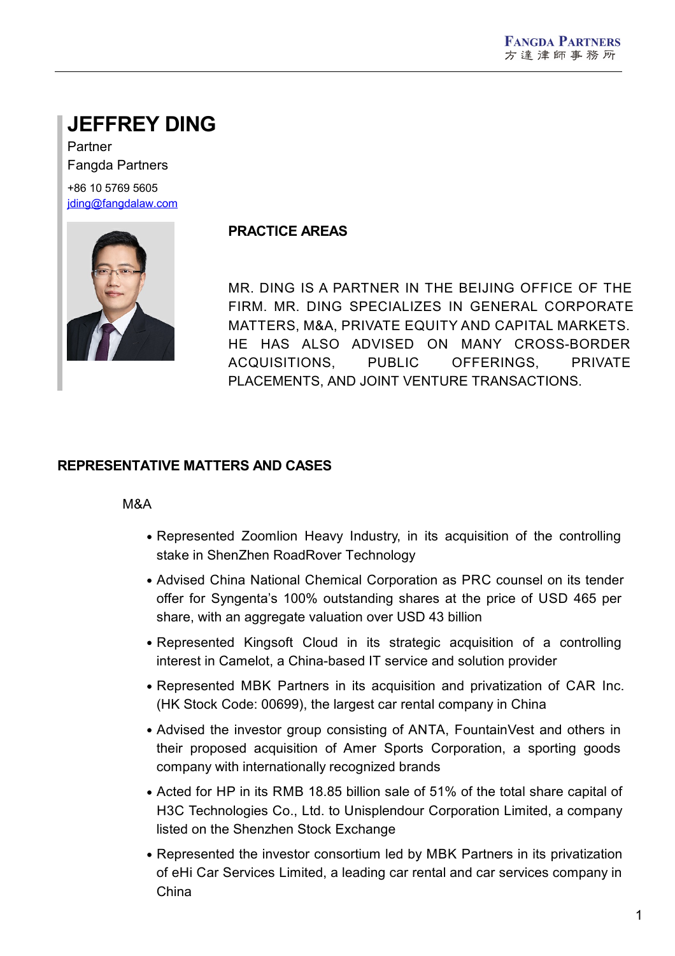# **JEFFREY DING**

Partner Fangda Partners +86 10 5769 5605 [jding@fangdalaw.com](mailto:jding@fangdalaw.com)



## **PRACTICE AREAS**

MR. DING IS A PARTNER IN THE BEIJING OFFICE OF THE FIRM. MR. DING SPECIALIZES IN GENERAL CORPORATE MATTERS, M&A, PRIVATE EQUITY AND CAPITAL MARKETS. HE HAS ALSO ADVISED ON MANY CROSS-BORDER ACQUISITIONS, PUBLIC OFFERINGS, PRIVATE PLACEMENTS, AND JOINT VENTURE TRANSACTIONS.

### **REPRESENTATIVE MATTERS AND CASES**

#### M&A

- Represented Zoomlion Heavy Industry, in its acquisition of the controlling stake in ShenZhen RoadRover Technology
- Advised China National Chemical Corporation as PRC counsel on its tender offer for Syngenta's 100% outstanding shares at the price of USD 465 per share, with an aggregate valuation over USD 43 billion
- Represented Kingsoft Cloud in its strategic acquisition of a controlling interest in Camelot, a China-based IT service and solution provider
- Represented MBK Partners in its acquisition and privatization of CAR Inc. (HK Stock Code: 00699), the largest car rental company in China
- Advised the investor group consisting of ANTA, FountainVest and others in their proposed acquisition of Amer Sports Corporation, a sporting goods company with internationally recognized brands
- Acted for HP in its RMB 18.85 billion sale of 51% of the total share capital of H3C Technologies Co., Ltd. to Unisplendour Corporation Limited, a company listed on the Shenzhen Stock Exchange
- Represented the investor consortium led by MBK Partners in its privatization of eHi Car Services Limited, a leading car rental and car services company in China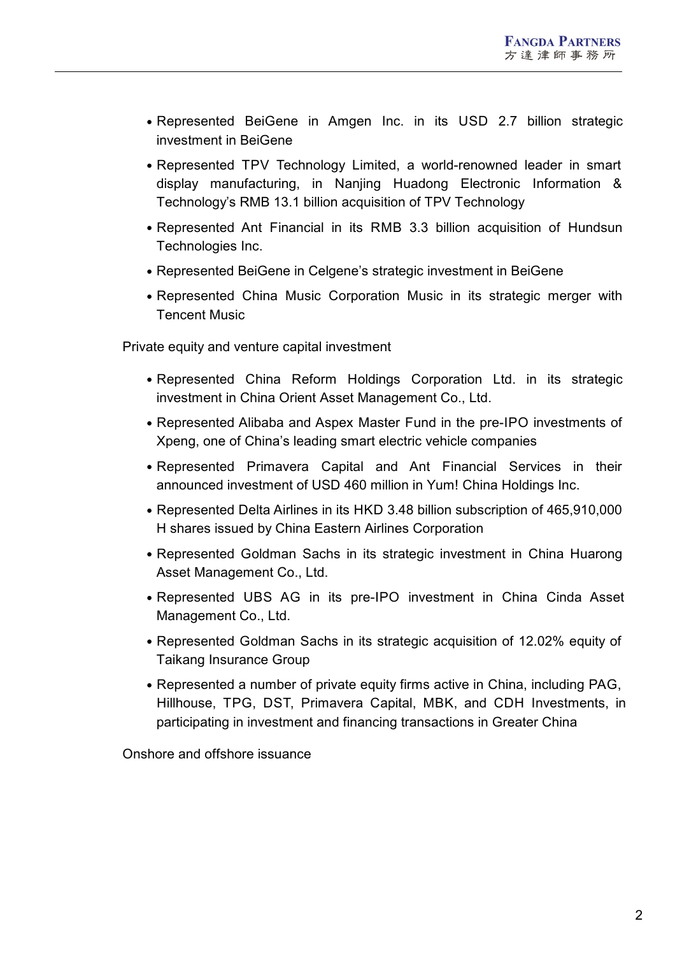- Represented BeiGene in Amgen Inc. in its USD 2.7 billion strategic investment in BeiGene
- Represented TPV Technology Limited, a world-renowned leader in smart display manufacturing, in Nanjing Huadong Electronic Information & Technology's RMB 13.1 billion acquisition of TPV Technology
- Represented Ant Financial in its RMB 3.3 billion acquisition of Hundsun Technologies Inc.
- Represented BeiGene in Celgene's strategic investment in BeiGene
- Represented China Music Corporation Music in its strategic merger with Tencent Music

Private equity and venture capital investment

- Represented China Reform Holdings Corporation Ltd. in its strategic investment in China Orient Asset Management Co., Ltd.
- Represented Alibaba and Aspex Master Fund in the pre-IPO investments of Xpeng, one of China's leading smart electric vehicle companies
- Represented Primavera Capital and Ant Financial Services in their announced investment of USD 460 million in Yum! China Holdings Inc.
- Represented Delta Airlines in its HKD 3.48 billion subscription of 465,910,000 H shares issued by China Eastern Airlines Corporation
- Represented Goldman Sachs in its strategic investment in China Huarong Asset Management Co., Ltd.
- Represented UBS AG in its pre-IPO investment in China Cinda Asset Management Co., Ltd.
- Represented Goldman Sachs in its strategic acquisition of 12.02% equity of Taikang Insurance Group
- Represented a number of private equity firms active in China, including PAG, Hillhouse, TPG, DST, Primavera Capital, MBK, and CDH Investments, in participating in investment and financing transactions in Greater China

Onshore and offshore issuance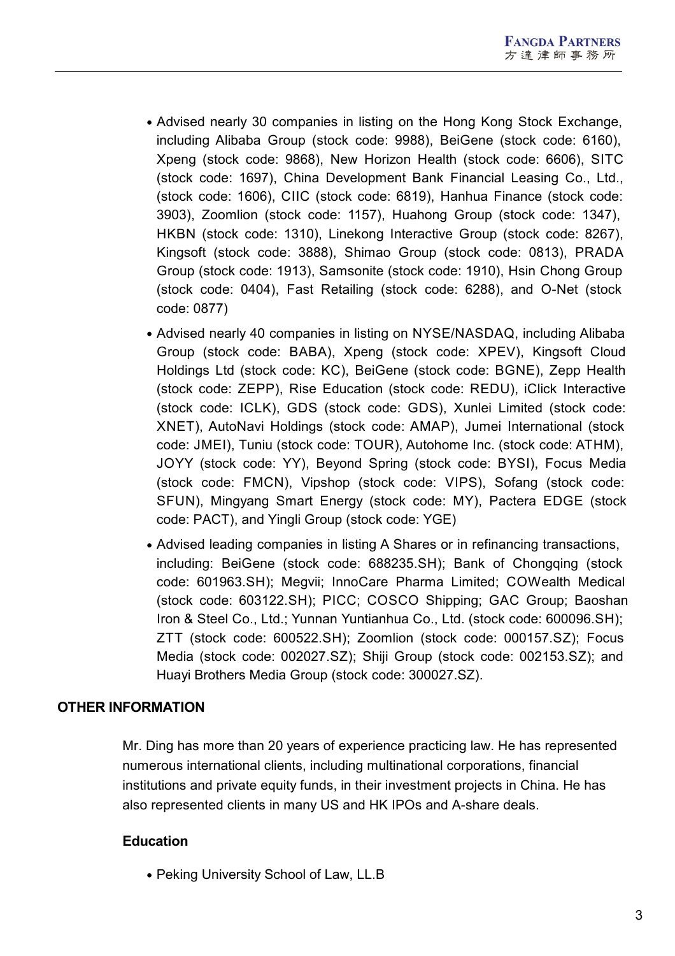- Advised nearly 30 companies in listing on the Hong Kong Stock Exchange, including Alibaba Group (stock code: 9988), BeiGene (stock code: 6160), Xpeng (stock code: 9868), New Horizon Health (stock code: 6606), SITC (stock code: 1697), China Development Bank Financial Leasing Co., Ltd., (stock code: 1606), CIIC (stock code: 6819), Hanhua Finance (stock code: 3903), Zoomlion (stock code: 1157), Huahong Group (stock code: 1347), HKBN (stock code: 1310), Linekong Interactive Group (stock code: 8267), Kingsoft (stock code: 3888), Shimao Group (stock code: 0813), PRADA Group (stock code: 1913), Samsonite (stock code: 1910), Hsin Chong Group (stock code: 0404), Fast Retailing (stock code: 6288), and O-Net (stock code: 0877)
- Advised nearly 40 companies in listing on NYSE/NASDAQ, including Alibaba Group (stock code: BABA), Xpeng (stock code: XPEV), Kingsoft Cloud Holdings Ltd (stock code: KC), BeiGene (stock code: BGNE), Zepp Health (stock code: ZEPP), Rise Education (stock code: REDU), iClick Interactive (stock code: ICLK), GDS (stock code: GDS), Xunlei Limited (stock code: XNET), AutoNavi Holdings (stock code: AMAP), Jumei International (stock code: JMEI), Tuniu (stock code: TOUR), Autohome Inc. (stock code: ATHM), JOYY (stock code: YY), Beyond Spring (stock code: BYSI), Focus Media (stock code: FMCN), Vipshop (stock code: VIPS), Sofang (stock code: SFUN), Mingyang Smart Energy (stock code: MY), Pactera EDGE (stock code: PACT), and Yingli Group (stock code: YGE)
- Advised leading companies in listing A Shares or in refinancing transactions, including: BeiGene (stock code: 688235.SH); Bank of Chongqing (stock code: 601963.SH); Megvii; InnoCare Pharma Limited; COWealth Medical (stock code: 603122.SH); PICC; COSCO Shipping; GAC Group; Baoshan Iron & Steel Co., Ltd.; Yunnan Yuntianhua Co., Ltd. (stock code: 600096.SH); ZTT (stock code: 600522.SH); Zoomlion (stock code: 000157.SZ); Focus Media (stock code: 002027.SZ); Shiji Group (stock code: 002153.SZ); and Huayi Brothers Media Group (stock code: 300027.SZ).

### **OTHER INFORMATION**

Mr. Ding has more than 20 years of experience practicing law. He has represented numerous international clients, including multinational corporations, financial institutions and private equity funds, in their investment projects in China. He has also represented clients in many US and HK IPOs and A-share deals.

#### **Education**

• Peking University School of Law, LL.B